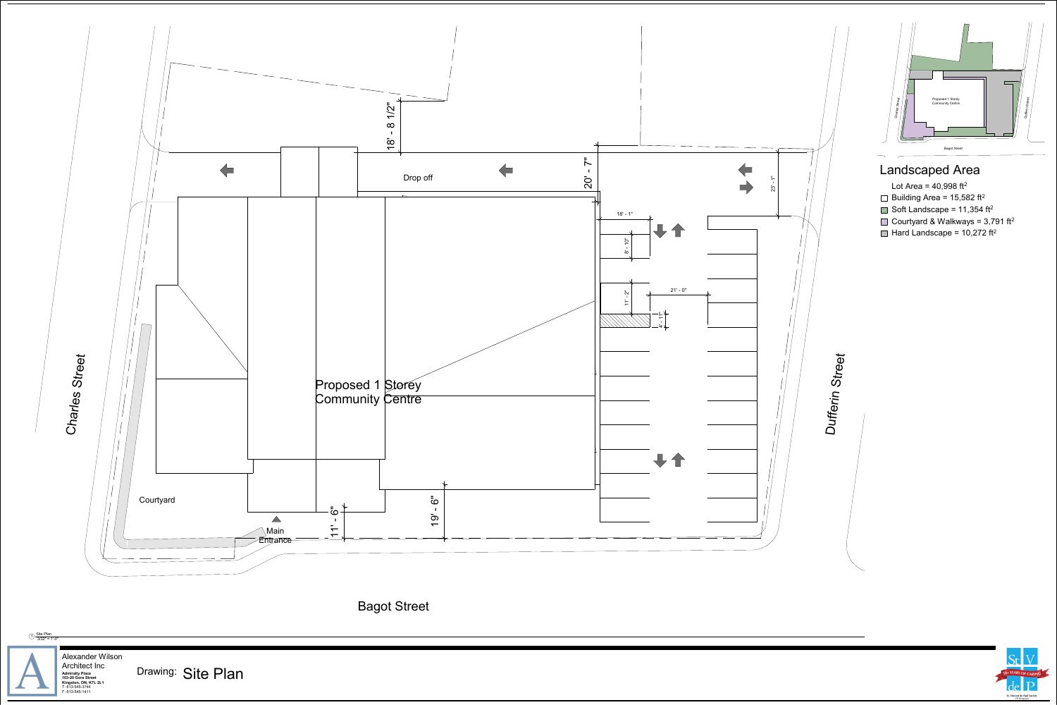<span id="page-0-0"></span>

Admiralty Place **Concret Concret Concret Concret Concret Concret Concret Concrete** Site Plan **Kingston, ON, K7L 2L1** Alexander Wilson Architect Inc<u>1) Site Plan<br>1) 3/32" = 1'-0"</u>

## Bagot Street



T: 613-545-3744 F: 613-545-1411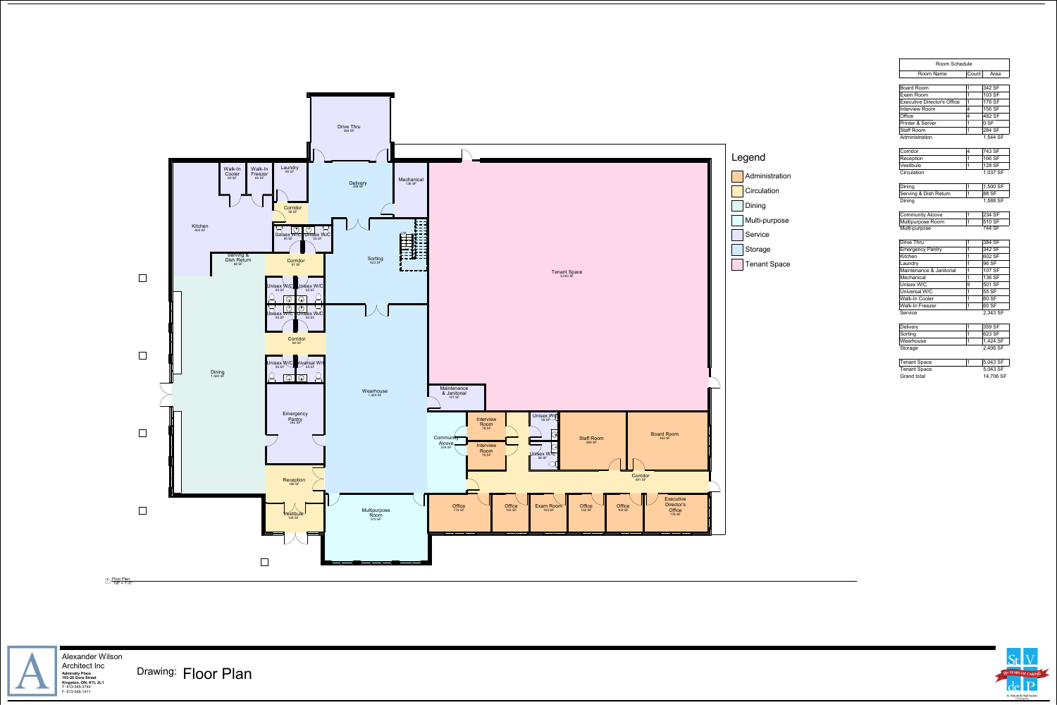|       |                     | R                |
|-------|---------------------|------------------|
|       |                     | <b>Board Ro</b>  |
|       |                     | Exam Ro          |
|       |                     | Executive        |
|       |                     | Interview        |
|       |                     | Office           |
|       |                     | Printer &        |
|       |                     | <b>Staff Roo</b> |
|       |                     | Administr        |
|       |                     | Corridor         |
| egend |                     | Reception        |
|       |                     | Vestibule        |
|       | Administration      | Circulatio       |
|       |                     | Dining           |
|       | Circulation         | Serving &        |
|       | Dining              | Dining           |
|       |                     | Communi          |
|       | Multi-purpose       | Multipurp        |
|       | <b>Service</b>      | Multi-purp       |
|       |                     | Drive Thr        |
|       | Storage             | Emergen          |
|       |                     | Kitchen          |
|       | <b>Tenant Space</b> | Laundry          |
|       |                     | Maintena         |
|       |                     | Mechanic         |
|       |                     | <b>Unisex W</b>  |
|       |                     | Universal        |
|       |                     | Walk-In C        |
|       |                     | Walk-In F        |
|       |                     | Service          |
|       |                     | Delivery         |
|       |                     | Sorting          |
|       |                     | Wearhous         |
|       |                     | Storage          |
|       |                     |                  |



 **Kingston, ON, K7L 2L1** T: 613-545-3744 F: 613-545-1411 Alexander Wilson Architect Inc

Admiralty Place **Drawing: Floor Plan** 

| Room Schedule                      |             |           |  |  |
|------------------------------------|-------------|-----------|--|--|
| Room Name                          | Count       | Area      |  |  |
| <b>Board Room</b>                  | 1           | 342 SF    |  |  |
| Exam Room                          | 1           | 103 SF    |  |  |
| <b>Executive Director's Office</b> | 1           | 176 SF    |  |  |
| <b>Interview Room</b>              | 4           | 156 SF    |  |  |
| Office                             | 4           | 482 SF    |  |  |
| <b>Printer &amp; Server</b>        | 1           | 0 S F     |  |  |
| <b>Staff Room</b>                  | 1           | 284 SF    |  |  |
| 1,544 SF<br>Administration         |             |           |  |  |
| Corridor                           | 4           | 743 SF    |  |  |
| Reception                          | 1           | 166 SF    |  |  |
| Vestibule                          | 1           | 128 SF    |  |  |
| Circulation                        |             | 1,037 SF  |  |  |
| Dining                             | 1           | 1,500 SF  |  |  |
| Serving & Dish Return              | 1           | 88 SF     |  |  |
| Dining<br>1,588 SF                 |             |           |  |  |
| <b>Community Alcove</b>            | 1           | 234 SF    |  |  |
| Multipurpose Room                  | 1           | 510 SF    |  |  |
| Multi-purpose                      |             | 744 SF    |  |  |
| <b>Drive Thru</b>                  | 1           | 384 SF    |  |  |
| <b>Emergency Pantry</b>            | 1           | 342 SF    |  |  |
| Kitchen                            | $\mathbf 1$ | 602 SF    |  |  |
| Laundry                            | 1           | 96 SF     |  |  |
| Maintenance & Janitorial           | 1           | 107 SF    |  |  |
| Mechanical                         | 1           | 136 SF    |  |  |
| <b>Unisex W/C</b>                  | 9           | 501 SF    |  |  |
| Universal W/C                      | 1           | 55 SF     |  |  |
| <b>Walk-In Cooler</b>              | 1           | 60 SF     |  |  |
| <b>Walk-In Freezer</b>             | $\mathbf 1$ | 60 SF     |  |  |
| Service<br>2,343 SF                |             |           |  |  |
| <b>Delivery</b>                    | 1           | 359 SF    |  |  |
| Sorting                            | 1           | 623 SF    |  |  |
| Wearhouse                          | 1           | 1,424 SF  |  |  |
| Storage                            |             | 2,406 SF  |  |  |
| Tenant Space                       | 1           | 5,043 SF  |  |  |
| <b>Tenant Space</b>                |             | 5,043 SF  |  |  |
| <b>Grand total</b>                 |             | 14,706 SF |  |  |



1/8" = 1'-0" <sup>1</sup> Floor Plan

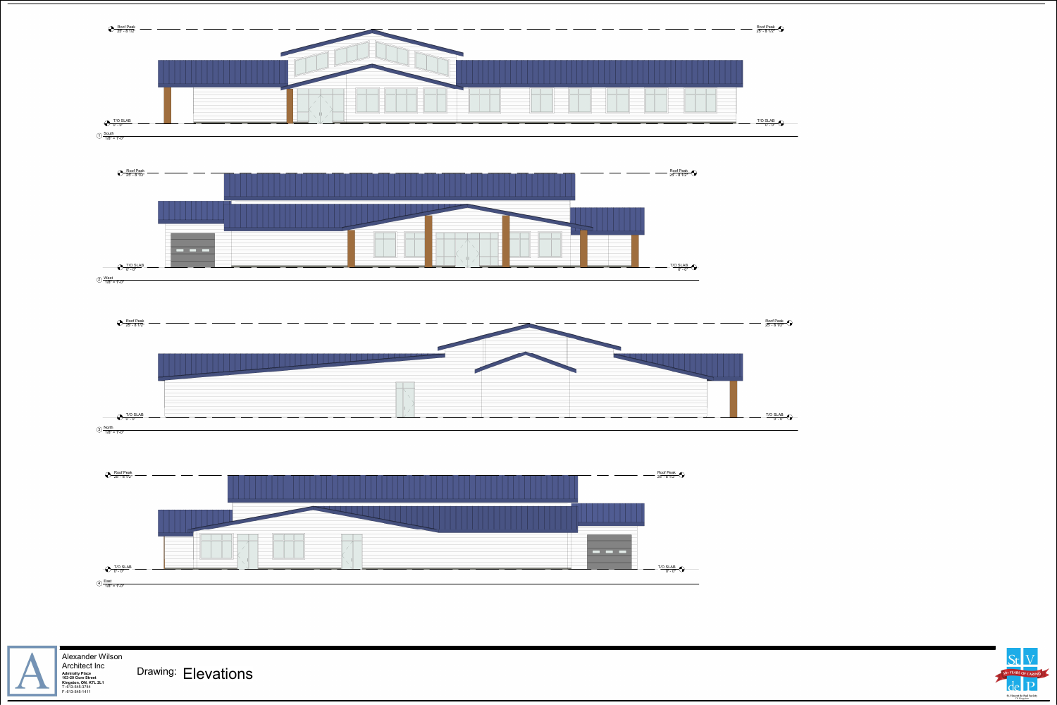



<u>[T/O SLAB](#page-0-0)</u><br>"0' - 0

R<u>oof Peak</u><br>25' - 8 1/2"



 $\bigcap \frac{\text{South}}{1/8"} = 1'.0"$ 

[T/O SLAB](#page-0-0) 0' - 0"

St V<br>
SO+ YEARS OF CARING

Roof Peak 25' - 8 1/2"

2) <u>West</u><br>1/8" = 1'-0"









 **Kingston, ON, K7L 2L1** T: 613-545-3744 F: 613-545-1411 Alexander Wilson Architect Inc

Admiralty Place **Connect Trice Connect Trice Connect Trice Connect Connect Connect Property Property Property Property Property Property Property Property Property Property Property Property Property Property Property Prop**